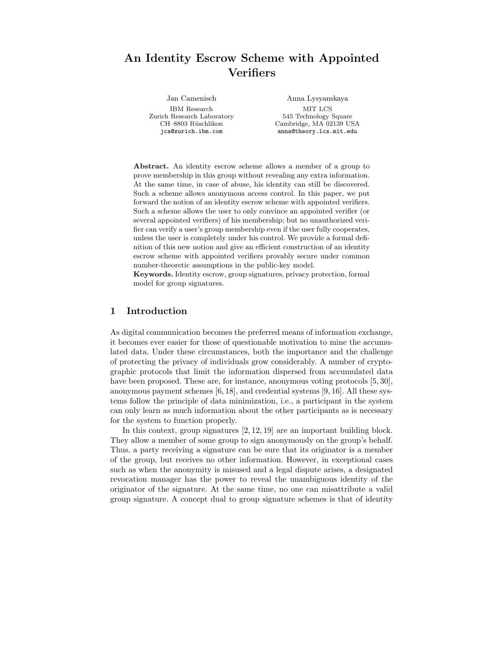# An Identity Escrow Scheme with Appointed **Verifiers**

Jan Camenisch IBM Research Zurich Research Laboratory CH–8803 Rüschlikon jca@zurich.ibm.com

Anna Lysyanskaya MIT LCS 545 Technology Square Cambridge, MA 02139 USA anna@theory.lcs.mit.edu

Abstract. An identity escrow scheme allows a member of a group to prove membership in this group without revealing any extra information. At the same time, in case of abuse, his identity can still be discovered. Such a scheme allows anonymous access control. In this paper, we put forward the notion of an identity escrow scheme with appointed verifiers. Such a scheme allows the user to only convince an appointed verifier (or several appointed verifiers) of his membership; but no unauthorized verifier can verify a user's group membership even if the user fully cooperates, unless the user is completely under his control. We provide a formal definition of this new notion and give an efficient construction of an identity escrow scheme with appointed verifiers provably secure under common number-theoretic assumptions in the public-key model.

Keywords. Identity escrow, group signatures, privacy protection, formal model for group signatures.

# 1 Introduction

As digital communication becomes the preferred means of information exchange, it becomes ever easier for those of questionable motivation to mine the accumulated data. Under these circumstances, both the importance and the challenge of protecting the privacy of individuals grow considerably. A number of cryptographic protocols that limit the information dispersed from accumulated data have been proposed. These are, for instance, anonymous voting protocols  $[5, 30]$ , anonymous payment schemes [6, 18], and credential systems [9, 16]. All these systems follow the principle of data minimization, i.e., a participant in the system can only learn as much information about the other participants as is necessary for the system to function properly.

In this context, group signatures [2, 12, 19] are an important building block. They allow a member of some group to sign anonymously on the group's behalf. Thus, a party receiving a signature can be sure that its originator is a member of the group, but receives no other information. However, in exceptional cases such as when the anonymity is misused and a legal dispute arises, a designated revocation manager has the power to reveal the unambiguous identity of the originator of the signature. At the same time, no one can misattribute a valid group signature. A concept dual to group signature schemes is that of identity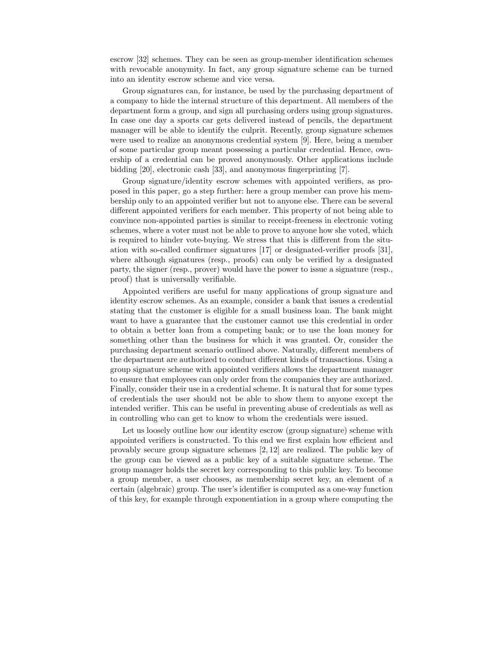escrow [32] schemes. They can be seen as group-member identification schemes with revocable anonymity. In fact, any group signature scheme can be turned into an identity escrow scheme and vice versa.

Group signatures can, for instance, be used by the purchasing department of a company to hide the internal structure of this department. All members of the department form a group, and sign all purchasing orders using group signatures. In case one day a sports car gets delivered instead of pencils, the department manager will be able to identify the culprit. Recently, group signature schemes were used to realize an anonymous credential system [9]. Here, being a member of some particular group meant possessing a particular credential. Hence, ownership of a credential can be proved anonymously. Other applications include bidding [20], electronic cash [33], and anonymous fingerprinting [7].

Group signature/identity escrow schemes with appointed verifiers, as proposed in this paper, go a step further: here a group member can prove his membership only to an appointed verifier but not to anyone else. There can be several different appointed verifiers for each member. This property of not being able to convince non-appointed parties is similar to receipt-freeness in electronic voting schemes, where a voter must not be able to prove to anyone how she voted, which is required to hinder vote-buying. We stress that this is different from the situation with so-called confirmer signatures [17] or designated-verifier proofs [31], where although signatures (resp., proofs) can only be verified by a designated party, the signer (resp., prover) would have the power to issue a signature (resp., proof) that is universally verifiable.

Appointed verifiers are useful for many applications of group signature and identity escrow schemes. As an example, consider a bank that issues a credential stating that the customer is eligible for a small business loan. The bank might want to have a guarantee that the customer cannot use this credential in order to obtain a better loan from a competing bank; or to use the loan money for something other than the business for which it was granted. Or, consider the purchasing department scenario outlined above. Naturally, different members of the department are authorized to conduct different kinds of transactions. Using a group signature scheme with appointed verifiers allows the department manager to ensure that employees can only order from the companies they are authorized. Finally, consider their use in a credential scheme. It is natural that for some types of credentials the user should not be able to show them to anyone except the intended verifier. This can be useful in preventing abuse of credentials as well as in controlling who can get to know to whom the credentials were issued.

Let us loosely outline how our identity escrow (group signature) scheme with appointed verifiers is constructed. To this end we first explain how efficient and provably secure group signature schemes [2, 12] are realized. The public key of the group can be viewed as a public key of a suitable signature scheme. The group manager holds the secret key corresponding to this public key. To become a group member, a user chooses, as membership secret key, an element of a certain (algebraic) group. The user's identifier is computed as a one-way function of this key, for example through exponentiation in a group where computing the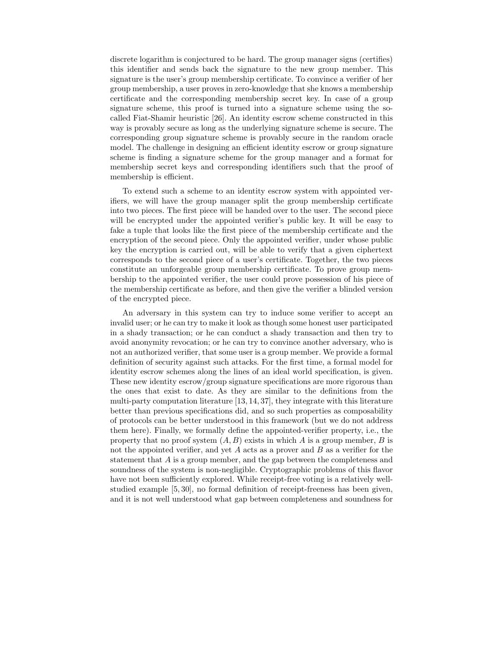discrete logarithm is conjectured to be hard. The group manager signs (certifies) this identifier and sends back the signature to the new group member. This signature is the user's group membership certificate. To convince a verifier of her group membership, a user proves in zero-knowledge that she knows a membership certificate and the corresponding membership secret key. In case of a group signature scheme, this proof is turned into a signature scheme using the socalled Fiat-Shamir heuristic [26]. An identity escrow scheme constructed in this way is provably secure as long as the underlying signature scheme is secure. The corresponding group signature scheme is provably secure in the random oracle model. The challenge in designing an efficient identity escrow or group signature scheme is finding a signature scheme for the group manager and a format for membership secret keys and corresponding identifiers such that the proof of membership is efficient.

To extend such a scheme to an identity escrow system with appointed verifiers, we will have the group manager split the group membership certificate into two pieces. The first piece will be handed over to the user. The second piece will be encrypted under the appointed verifier's public key. It will be easy to fake a tuple that looks like the first piece of the membership certificate and the encryption of the second piece. Only the appointed verifier, under whose public key the encryption is carried out, will be able to verify that a given ciphertext corresponds to the second piece of a user's certificate. Together, the two pieces constitute an unforgeable group membership certificate. To prove group membership to the appointed verifier, the user could prove possession of his piece of the membership certificate as before, and then give the verifier a blinded version of the encrypted piece.

An adversary in this system can try to induce some verifier to accept an invalid user; or he can try to make it look as though some honest user participated in a shady transaction; or he can conduct a shady transaction and then try to avoid anonymity revocation; or he can try to convince another adversary, who is not an authorized verifier, that some user is a group member. We provide a formal definition of security against such attacks. For the first time, a formal model for identity escrow schemes along the lines of an ideal world specification, is given. These new identity escrow/group signature specifications are more rigorous than the ones that exist to date. As they are similar to the definitions from the multi-party computation literature [13, 14, 37], they integrate with this literature better than previous specifications did, and so such properties as composability of protocols can be better understood in this framework (but we do not address them here). Finally, we formally define the appointed-verifier property, i.e., the property that no proof system  $(A, B)$  exists in which A is a group member, B is not the appointed verifier, and yet  $A$  acts as a prover and  $B$  as a verifier for the statement that A is a group member, and the gap between the completeness and soundness of the system is non-negligible. Cryptographic problems of this flavor have not been sufficiently explored. While receipt-free voting is a relatively wellstudied example [5, 30], no formal definition of receipt-freeness has been given, and it is not well understood what gap between completeness and soundness for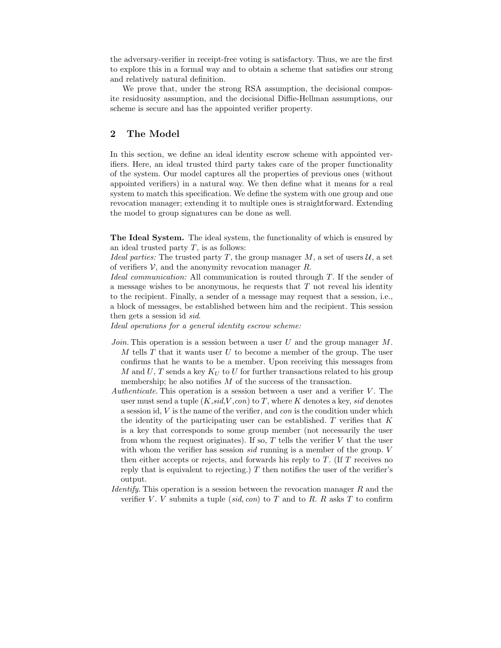the adversary-verifier in receipt-free voting is satisfactory. Thus, we are the first to explore this in a formal way and to obtain a scheme that satisfies our strong and relatively natural definition.

We prove that, under the strong RSA assumption, the decisional composite residuosity assumption, and the decisional Diffie-Hellman assumptions, our scheme is secure and has the appointed verifier property.

# 2 The Model

In this section, we define an ideal identity escrow scheme with appointed verifiers. Here, an ideal trusted third party takes care of the proper functionality of the system. Our model captures all the properties of previous ones (without appointed verifiers) in a natural way. We then define what it means for a real system to match this specification. We define the system with one group and one revocation manager; extending it to multiple ones is straightforward. Extending the model to group signatures can be done as well.

The Ideal System. The ideal system, the functionality of which is ensured by an ideal trusted party  $T$ , is as follows:

Ideal parties: The trusted party T, the group manager M, a set of users  $\mathcal{U}$ , a set of verifiers  $\mathcal V$ , and the anonymity revocation manager R.

Ideal communication: All communication is routed through T. If the sender of a message wishes to be anonymous, he requests that  $T$  not reveal his identity to the recipient. Finally, a sender of a message may request that a session, i.e., a block of messages, be established between him and the recipient. This session then gets a session id sid.

Ideal operations for a general identity escrow scheme:

- Join. This operation is a session between a user  $U$  and the group manager  $M$ .  $M$  tells  $T$  that it wants user  $U$  to become a member of the group. The user confirms that he wants to be a member. Upon receiving this messages from M and U, T sends a key  $K_U$  to U for further transactions related to his group membership; he also notifies  $M$  of the success of the transaction.
- Authenticate. This operation is a session between a user and a verifier  $V$ . The user must send a tuple  $(K, sid, V, con)$  to T, where K denotes a key, sid denotes a session id, V is the name of the verifier, and con is the condition under which the identity of the participating user can be established. T verifies that  $K$ is a key that corresponds to some group member (not necessarily the user from whom the request originates). If so,  $T$  tells the verifier  $V$  that the user with whom the verifier has session *sid* running is a member of the group. V then either accepts or rejects, and forwards his reply to T. (If T receives no reply that is equivalent to rejecting.)  $T$  then notifies the user of the verifier's output.
- *Identify*. This operation is a session between the revocation manager  $R$  and the verifier V. V submits a tuple (sid, con) to T and to R. R asks T to confirm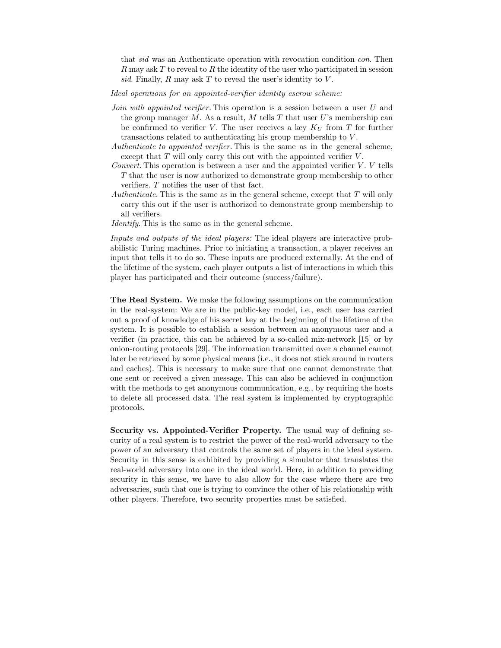that sid was an Authenticate operation with revocation condition con. Then  $R$  may ask  $T$  to reveal to  $R$  the identity of the user who participated in session sid. Finally,  $R$  may ask  $T$  to reveal the user's identity to  $V$ .

Ideal operations for an appointed-verifier identity escrow scheme:

- Join with appointed verifier. This operation is a session between a user U and the group manager  $M$ . As a result,  $M$  tells  $T$  that user  $U$ 's membership can be confirmed to verifier V. The user receives a key  $K_U$  from T for further transactions related to authenticating his group membership to V .
- Authenticate to appointed verifier. This is the same as in the general scheme, except that  $T$  will only carry this out with the appointed verifier  $V$ .
- Convert. This operation is between a user and the appointed verifier  $V$ .  $V$  tells T that the user is now authorized to demonstrate group membership to other verifiers. T notifies the user of that fact.
- Authenticate. This is the same as in the general scheme, except that  $T$  will only carry this out if the user is authorized to demonstrate group membership to all verifiers.

Identify. This is the same as in the general scheme.

Inputs and outputs of the ideal players: The ideal players are interactive probabilistic Turing machines. Prior to initiating a transaction, a player receives an input that tells it to do so. These inputs are produced externally. At the end of the lifetime of the system, each player outputs a list of interactions in which this player has participated and their outcome (success/failure).

The Real System. We make the following assumptions on the communication in the real-system: We are in the public-key model, i.e., each user has carried out a proof of knowledge of his secret key at the beginning of the lifetime of the system. It is possible to establish a session between an anonymous user and a verifier (in practice, this can be achieved by a so-called mix-network [15] or by onion-routing protocols [29]. The information transmitted over a channel cannot later be retrieved by some physical means (i.e., it does not stick around in routers and caches). This is necessary to make sure that one cannot demonstrate that one sent or received a given message. This can also be achieved in conjunction with the methods to get anonymous communication, e.g., by requiring the hosts to delete all processed data. The real system is implemented by cryptographic protocols.

Security vs. Appointed-Verifier Property. The usual way of defining security of a real system is to restrict the power of the real-world adversary to the power of an adversary that controls the same set of players in the ideal system. Security in this sense is exhibited by providing a simulator that translates the real-world adversary into one in the ideal world. Here, in addition to providing security in this sense, we have to also allow for the case where there are two adversaries, such that one is trying to convince the other of his relationship with other players. Therefore, two security properties must be satisfied.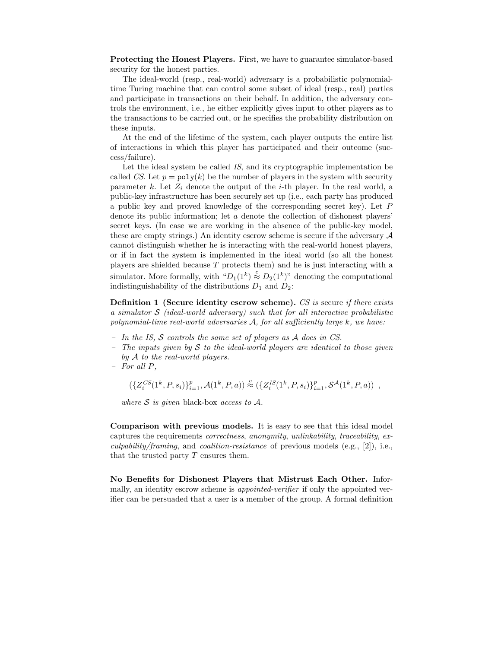Protecting the Honest Players. First, we have to guarantee simulator-based security for the honest parties.

The ideal-world (resp., real-world) adversary is a probabilistic polynomialtime Turing machine that can control some subset of ideal (resp., real) parties and participate in transactions on their behalf. In addition, the adversary controls the environment, i.e., he either explicitly gives input to other players as to the transactions to be carried out, or he specifies the probability distribution on these inputs.

At the end of the lifetime of the system, each player outputs the entire list of interactions in which this player has participated and their outcome (success/failure).

Let the ideal system be called  $IS$ , and its cryptographic implementation be called CS. Let  $p = \text{poly}(k)$  be the number of players in the system with security parameter k. Let  $Z_i$  denote the output of the *i*-th player. In the real world, a public-key infrastructure has been securely set up (i.e., each party has produced a public key and proved knowledge of the corresponding secret key). Let P denote its public information; let a denote the collection of dishonest players' secret keys. (In case we are working in the absence of the public-key model, these are empty strings.) An identity escrow scheme is secure if the adversary  $A$ cannot distinguish whether he is interacting with the real-world honest players, or if in fact the system is implemented in the ideal world (so all the honest players are shielded because  $T$  protects them) and he is just interacting with a simulator. More formally, with " $D_1(1^k) \stackrel{c}{\approx} D_2(1^k)$ " denoting the computational indistinguishability of the distributions  $D_1$  and  $D_2$ :

Definition 1 (Secure identity escrow scheme). CS is secure if there exists a simulator  $S$  (ideal-world adversary) such that for all interactive probabilistic polynomial-time real-world adversaries  $A$ , for all sufficiently large k, we have:

- In the IS, S controls the same set of players as A does in CS.
- The inputs given by  $S$  to the ideal-world players are identical to those given by A to the real-world players.
- For all P,

$$
(\{Z_i^{CS}(1^k, P, s_i)\}_{i=1}^p, \mathcal{A}(1^k, P, a)) \stackrel{c}{\approx} (\{Z_i^{IS}(1^k, P, s_i)\}_{i=1}^p, \mathcal{S}^{\mathcal{A}}(1^k, P, a)) ,
$$

where  $S$  is given black-box access to  $A$ .

Comparison with previous models. It is easy to see that this ideal model captures the requirements correctness, anonymity, unlinkability, traceability, exculpability/framing, and coalition-resistance of previous models (e.g., [2]), i.e., that the trusted party T ensures them.

No Benefits for Dishonest Players that Mistrust Each Other. Informally, an identity escrow scheme is *appointed-verifier* if only the appointed verifier can be persuaded that a user is a member of the group. A formal definition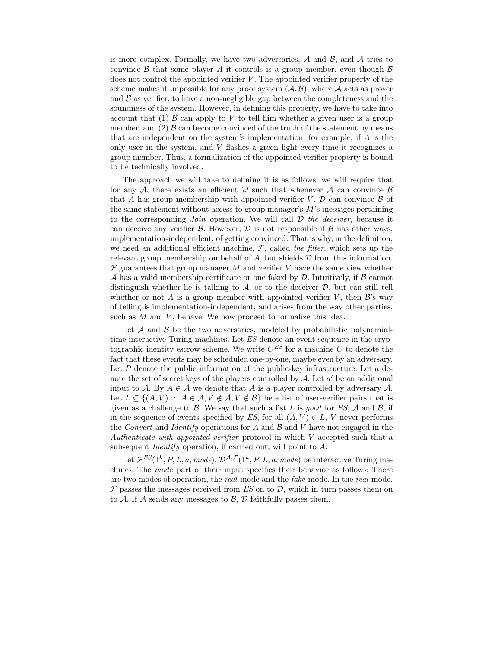is more complex. Formally, we have two adversaries,  $A$  and  $B$ , and  $A$  tries to convince  $\beta$  that some player A it controls is a group member, even though  $\beta$ does not control the appointed verifier  $V$ . The appointed verifier property of the scheme makes it impossible for any proof system  $(A, \mathcal{B})$ , where A acts as prover and  $\beta$  as verifier, to have a non-negligible gap between the completeness and the soundness of the system. However, in defining this property, we have to take into account that (1)  $\beta$  can apply to V to tell him whether a given user is a group member; and  $(2)$   $\beta$  can become convinced of the truth of the statement by means that are independent on the system's implementation: for example, if A is the only user in the system, and  $V$  flashes a green light every time it recognizes a group member. Thus, a formalization of the appointed verifier property is bound to be technically involved.

The approach we will take to defining it is as follows: we will require that for any A, there exists an efficient  $\mathcal D$  such that whenever A can convince  $\mathcal B$ that A has group membership with appointed verifier V,  $\mathcal D$  can convince  $\mathcal B$  of the same statement without access to group manager's  $M$ 's messages pertaining to the corresponding *Join* operation. We will call  $D$  the deceiver, because it can deceive any verifier  $\beta$ . However,  $\mathcal D$  is not responsible if  $\beta$  has other ways, implementation-independent, of getting convinced. That is why, in the definition, we need an additional efficient machine,  $\mathcal{F}$ , called the filter, which sets up the relevant group membership on behalf of  $A$ , but shields  $D$  from this information.  $\mathcal F$  guarantees that group manager M and verifier V have the same view whether A has a valid membership certificate or one faked by  $D$ . Intuitively, if  $B$  cannot distinguish whether he is talking to  $A$ , or to the deceiver  $D$ , but can still tell whether or not A is a group member with appointed verifier V, then  $\mathcal{B}$ 's way of telling is implementation-independent, and arises from the way other parties, such as  $M$  and  $V$ , behave. We now proceed to formalize this idea.

Let  $\mathcal A$  and  $\mathcal B$  be the two adversaries, modeled by probabilistic polynomialtime interactive Turing machines. Let ES denote an event sequence in the cryptographic identity escrow scheme. We write  $C^{ES}$  for a machine C to denote the fact that these events may be scheduled one-by-one, maybe even by an adversary. Let  $P$  denote the public information of the public-key infrastructure. Let  $a$  denote the set of secret keys of the players controlled by  $A$ . Let  $a'$  be an additional input to A. By  $A \in \mathcal{A}$  we denote that A is a player controlled by adversary A. Let  $L \subseteq \{(A, V) : A \in \mathcal{A}, V \notin \mathcal{A}, V \notin \mathcal{B}\}\$ be a list of user-verifier pairs that is given as a challenge to  $\beta$ . We say that such a list L is good for ES, A and  $\beta$ , if in the sequence of events specified by ES, for all  $(A, V) \in L$ , V never performs the Convert and Identify operations for  $A$  and  $B$  and  $V$  have not engaged in the Authenticate with appointed verifier protocol in which V accepted such that a subsequent *Identify* operation, if carried out, will point to A.

Let  $\mathcal{F}^{ES}(1^k, P, L, a, mode), \mathcal{D}^{A,\mathcal{F}}(1^k, P, L, a, mode)$  be interactive Turing machines. The mode part of their input specifies their behavior as follows: There are two modes of operation, the real mode and the fake mode. In the real mode,  $\mathcal F$  passes the messages received from ES on to  $\mathcal D$ , which in turn passes them on to A. If A sends any messages to  $\beta$ ,  $\mathcal{D}$  faithfully passes them.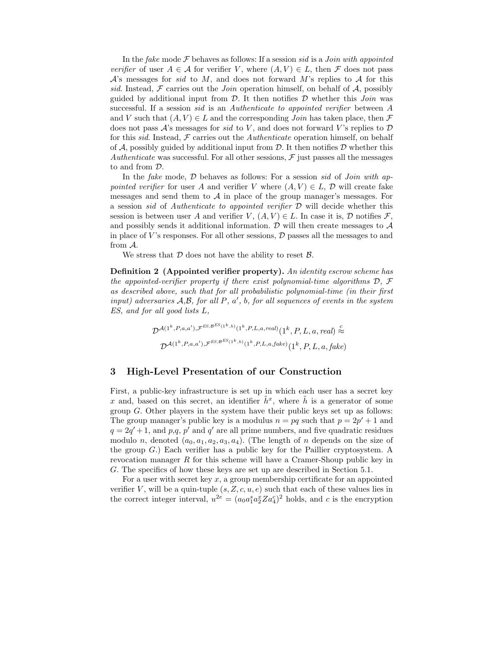In the fake mode  $\mathcal F$  behaves as follows: If a session sid is a *Join with appointed* verifier of user  $A \in \mathcal{A}$  for verifier V, where  $(A, V) \in L$ , then F does not pass  $\mathcal{A}$ 's messages for sid to M, and does not forward M's replies to  $\mathcal{A}$  for this sid. Instead,  $\mathcal F$  carries out the *Join* operation himself, on behalf of  $\mathcal A$ , possibly guided by additional input from  $D$ . It then notifies  $D$  whether this *Join* was successful. If a session *sid* is an *Authenticate to appointed verifier* between *A* and V such that  $(A, V) \in L$  and the corresponding *Join* has taken place, then F does not pass  $\mathcal{A}$ 's messages for sid to V, and does not forward V's replies to  $\mathcal{D}$ for this sid. Instead,  $\mathcal F$  carries out the *Authenticate* operation himself, on behalf of A, possibly guided by additional input from  $D$ . It then notifies  $D$  whether this Authenticate was successful. For all other sessions,  $\mathcal F$  just passes all the messages to and from D.

In the fake mode,  $D$  behaves as follows: For a session sid of Join with appointed verifier for user A and verifier V where  $(A, V) \in L$ , D will create fake messages and send them to  $\mathcal A$  in place of the group manager's messages. For a session sid of Authenticate to appointed verifier D will decide whether this session is between user A and verifier V,  $(A, V) \in L$ . In case it is, D notifies F, and possibly sends it additional information.  $\mathcal D$  will then create messages to  $\mathcal A$ in place of V's responses. For all other sessions,  $D$  passes all the messages to and from A.

We stress that  $D$  does not have the ability to reset  $\beta$ .

Definition 2 (Appointed verifier property). An identity escrow scheme has the appointed-verifier property if there exist polynomial-time algorithms  $\mathcal{D}, \mathcal{F}$ as described above, such that for all probabilistic polynomial-time (in their first input) adversaries  $A,B$ , for all  $P$ ,  $a'$ ,  $b$ , for all sequences of events in the system ES, and for all good lists L,

$$
\mathcal{D}^{\mathcal{A}(1^{k},P,a,a'),\mathcal{F}^{ES,B^{ES}(1^{k},b)}(1^{k},P,L,a,real)}(1^{k},P,L,a,real) \overset{c}{\approx}
$$
  

$$
\mathcal{D}^{\mathcal{A}(1^{k},P,a,a'),\mathcal{F}^{ES,B^{ES}(1^{k},b)}(1^{k},P,L,a,fake)}(1^{k},P,L,a,fake)
$$

## 3 High-Level Presentation of our Construction

First, a public-key infrastructure is set up in which each user has a secret key x and, based on this secret, an identifier  $\tilde{h}^x$ , where  $\tilde{h}$  is a generator of some group  $G$ . Other players in the system have their public keys set up as follows: The group manager's public key is a modulus  $n = pq$  such that  $p = 2p' + 1$  and  $q = 2q' + 1$ , and  $p, q, p'$  and  $q'$  are all prime numbers, and five quadratic residues modulo n, denoted  $(a_0, a_1, a_2, a_3, a_4)$ . (The length of n depends on the size of the group G.) Each verifier has a public key for the Paillier cryptosystem. A revocation manager  $R$  for this scheme will have a Cramer-Shoup public key in G. The specifics of how these keys are set up are described in Section 5.1.

For a user with secret key  $x$ , a group membership certificate for an appointed verifier V, will be a quin-tuple  $(s, Z, c, u, e)$  such that each of these values lies in the correct integer interval,  $u^{2e} = (a_0 a_1^s a_2^s Z a_4^c)^2$  holds, and c is the encryption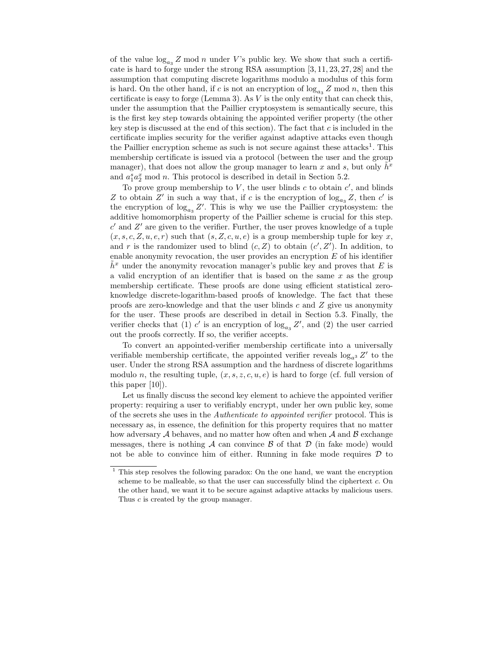of the value  $log_{a_3} Z \mod n$  under V's public key. We show that such a certificate is hard to forge under the strong RSA assumption [3, 11, 23, 27, 28] and the assumption that computing discrete logarithms modulo a modulus of this form is hard. On the other hand, if c is not an encryption of  $\log_{a_3} Z$  mod n, then this certificate is easy to forge (Lemma 3). As  $V$  is the only entity that can check this, under the assumption that the Paillier cryptosystem is semantically secure, this is the first key step towards obtaining the appointed verifier property (the other key step is discussed at the end of this section). The fact that  $c$  is included in the certificate implies security for the verifier against adaptive attacks even though the Paillier encryption scheme as such is not secure against these attacks<sup>1</sup>. This membership certificate is issued via a protocol (between the user and the group manager), that does not allow the group manager to learn x and s, but only  $h^x$ and  $a_1^s a_2^s \mod n$ . This protocol is described in detail in Section 5.2.

To prove group membership to  $V$ , the user blinds  $c$  to obtain  $c'$ , and blinds Z to obtain Z' in such a way that, if c is the encryption of  $\log_{a_3} Z$ , then c' is the encryption of  $log_{a_3} Z'$ . This is why we use the Paillier cryptosystem: the additive homomorphism property of the Paillier scheme is crucial for this step.  $c'$  and  $Z'$  are given to the verifier. Further, the user proves knowledge of a tuple  $(x, s, c, Z, u, e, r)$  such that  $(s, Z, c, u, e)$  is a group membership tuple for key x, and r is the randomizer used to blind  $(c, Z)$  to obtain  $(c', Z')$ . In addition, to enable anonymity revocation, the user provides an encryption  $E$  of his identifier  $\tilde{h}^x$  under the anonymity revocation manager's public key and proves that E is a valid encryption of an identifier that is based on the same  $x$  as the group membership certificate. These proofs are done using efficient statistical zeroknowledge discrete-logarithm-based proofs of knowledge. The fact that these proofs are zero-knowledge and that the user blinds  $c$  and  $Z$  give us anonymity for the user. These proofs are described in detail in Section 5.3. Finally, the verifier checks that (1)  $c'$  is an encryption of  $\log_{a_3} Z'$ , and (2) the user carried out the proofs correctly. If so, the verifier accepts.

To convert an appointed-verifier membership certificate into a universally verifiable membership certificate, the appointed verifier reveals  $log_{a^3} Z'$  to the user. Under the strong RSA assumption and the hardness of discrete logarithms modulo n, the resulting tuple,  $(x, s, z, c, u, e)$  is hard to forge (cf. full version of this paper [10]).

Let us finally discuss the second key element to achieve the appointed verifier property: requiring a user to verifiably encrypt, under her own public key, some of the secrets she uses in the Authenticate to appointed verifier protocol. This is necessary as, in essence, the definition for this property requires that no matter how adversary A behaves, and no matter how often and when  $A$  and  $B$  exchange messages, there is nothing  $A$  can convince  $B$  of that  $D$  (in fake mode) would not be able to convince him of either. Running in fake mode requires  $\mathcal D$  to

 $^{\rm 1}$  This step resolves the following paradox: On the one hand, we want the encryption scheme to be malleable, so that the user can successfully blind the ciphertext c. On the other hand, we want it to be secure against adaptive attacks by malicious users. Thus c is created by the group manager.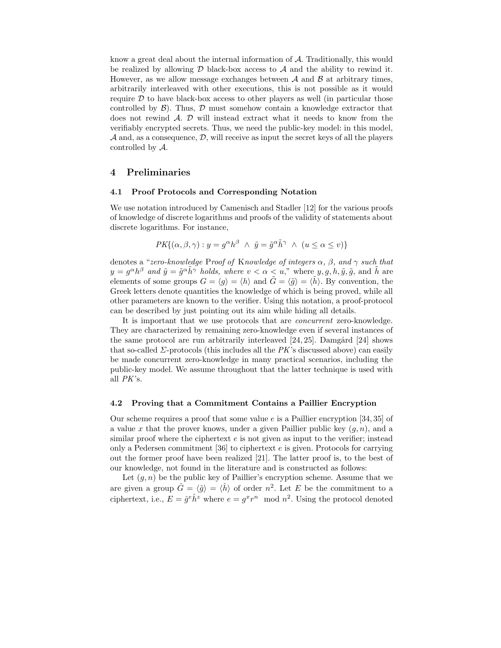know a great deal about the internal information of A. Traditionally, this would be realized by allowing  $\mathcal D$  black-box access to  $\mathcal A$  and the ability to rewind it. However, as we allow message exchanges between  $A$  and  $B$  at arbitrary times, arbitrarily interleaved with other executions, this is not possible as it would require  $D$  to have black-box access to other players as well (in particular those controlled by  $\mathcal{B}$ ). Thus,  $\mathcal{D}$  must somehow contain a knowledge extractor that does not rewind  $A$ .  $D$  will instead extract what it needs to know from the verifiably encrypted secrets. Thus, we need the public-key model: in this model,  $\mathcal A$  and, as a consequence,  $\mathcal D$ , will receive as input the secret keys of all the players controlled by A.

## 4 Preliminaries

#### 4.1 Proof Protocols and Corresponding Notation

We use notation introduced by Camenisch and Stadler [12] for the various proofs of knowledge of discrete logarithms and proofs of the validity of statements about discrete logarithms. For instance,

$$
PK\{(\alpha,\beta,\gamma): y = g^{\alpha}h^{\beta} \ \wedge \ \tilde{y} = \tilde{g}^{\alpha}\tilde{h}^{\gamma} \ \wedge \ (u \leq \alpha \leq v)\}
$$

denotes a "zero-knowledge Proof of Knowledge of integers  $\alpha$ ,  $\beta$ , and  $\gamma$  such that  $y = g^{\alpha} h^{\beta}$  and  $\tilde{y} = \tilde{g}^{\alpha} \tilde{h}^{\gamma}$  holds, where  $v < \alpha < u$ ," where  $y, g, h, \tilde{y}, \tilde{g}$ , and  $\tilde{h}$  are elements of some groups  $G = \langle g \rangle = \langle h \rangle$  and  $\tilde{G} = \langle \tilde{g} \rangle = \langle \tilde{h} \rangle$ . By convention, the Greek letters denote quantities the knowledge of which is being proved, while all other parameters are known to the verifier. Using this notation, a proof-protocol can be described by just pointing out its aim while hiding all details.

It is important that we use protocols that are concurrent zero-knowledge. They are characterized by remaining zero-knowledge even if several instances of the same protocol are run arbitrarily interleaved  $[24, 25]$ . Damgård  $[24]$  shows that so-called  $\Sigma$ -protocols (this includes all the  $PK$ 's discussed above) can easily be made concurrent zero-knowledge in many practical scenarios, including the public-key model. We assume throughout that the latter technique is used with all PK's.

#### 4.2 Proving that a Commitment Contains a Paillier Encryption

Our scheme requires a proof that some value  $e$  is a Paillier encryption [34, 35] of a value x that the prover knows, under a given Paillier public key  $(q, n)$ , and a similar proof where the ciphertext  $e$  is not given as input to the verifier; instead only a Pedersen commitment [36] to ciphertext e is given. Protocols for carrying out the former proof have been realized [21]. The latter proof is, to the best of our knowledge, not found in the literature and is constructed as follows:

Let  $(q, n)$  be the public key of Paillier's encryption scheme. Assume that we are given a group  $\hat{G} = \langle \hat{g} \rangle = \langle \hat{h} \rangle$  of order  $n^2$ . Let E be the commitment to a ciphertext, i.e.,  $E = \hat{g}^e \hat{h}^z$  where  $e = g^x r^n \mod n^2$ . Using the protocol denoted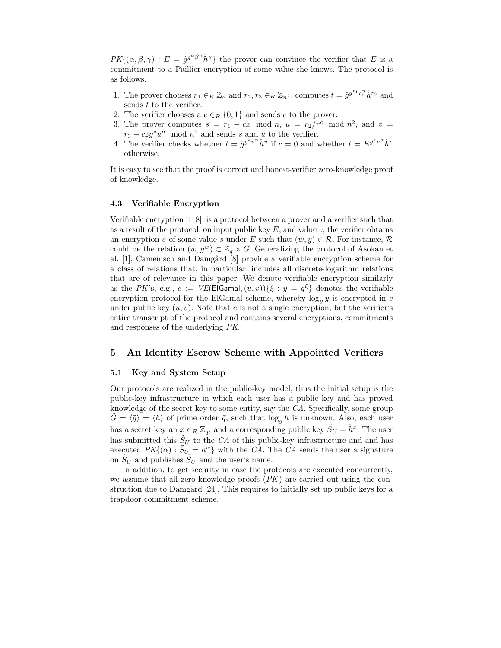$PK\{(\alpha,\beta,\gamma): E = \hat{g}^{g^{\alpha}\beta^{n}}\hat{h}^{\gamma}\}\$  the prover can convince the verifier that E is a commitment to a Paillier encryption of some value she knows. The protocol is as follows.

- 1. The prover chooses  $r_1 \in_R \mathbb{Z}_n$  and  $r_2, r_3 \in_R \mathbb{Z}_{n^2}$ , computes  $t = \hat{g}^{g^{r_1} r_2^n} \hat{h}^{r_3}$  and sends t to the verifier.
- 2. The verifier chooses a  $c \in_R \{0,1\}$  and sends c to the prover.
- 3. The prover computes  $s = r_1 cx \mod n$ ,  $u = r_2/r^c \mod n^2$ , and  $v =$  $r_3 - c z g^s u^n \mod n^2$  and sends s and u to the verifier.
- 4. The verifier checks whether  $t = \hat{g}^{g^s u^n} \hat{h}^v$  if  $c = 0$  and whether  $t = E^{g^s u^n} \hat{h}^v$ otherwise.

It is easy to see that the proof is correct and honest-verifier zero-knowledge proof of knowledge.

### 4.3 Verifiable Encryption

Verifiable encryption [1, 8], is a protocol between a prover and a verifier such that as a result of the protocol, on input public key  $E$ , and value  $v$ , the verifier obtains an encryption e of some value s under E such that  $(w, y) \in \mathcal{R}$ . For instance,  $\mathcal{R}$ could be the relation  $(w, g^w) \subset \mathbb{Z}_q \times G$ . Generalizing the protocol of Asokan et al. [1], Camenisch and Damgård [8] provide a verifiable encryption scheme for a class of relations that, in particular, includes all discrete-logarithm relations that are of relevance in this paper. We denote verifiable encryption similarly as the PK's, e.g.,  $e := VE(ElGamal, (u, v))\{\xi : y = g^{\xi}\}\)$  denotes the verifiable encryption protocol for the ElGamal scheme, whereby  $\log_a y$  is encrypted in e under public key  $(u, v)$ . Note that e is not a single encryption, but the verifier's entire transcript of the protocol and contains several encryptions, commitments and responses of the underlying PK.

## 5 An Identity Escrow Scheme with Appointed Verifiers

### 5.1 Key and System Setup

Our protocols are realized in the public-key model, thus the initial setup is the public-key infrastructure in which each user has a public key and has proved knowledge of the secret key to some entity, say the CA. Specifically, some group  $\tilde{G} = \langle \tilde{g} \rangle = \langle h \rangle$  of prime order  $\tilde{q}$ , such that  $\log_{\tilde{q}} h$  is unknown. Also, each user has a secret key an  $x \in_R \mathbb{Z}_q$ , and a corresponding public key  $\tilde{S}_U = \tilde{h}^x$ . The user has submitted this  $\tilde{S}_U$  to the CA of this public-key infrastructure and and has executed  $PK{(\alpha)}$ :  $\tilde{S}_U = \tilde{h}^{\alpha}$  with the CA. The CA sends the user a signature on  $S_U$  and publishes  $S_U$  and the user's name.

In addition, to get security in case the protocols are executed concurrently, we assume that all zero-knowledge proofs  $(PK)$  are carried out using the construction due to Damgård  $[24]$ . This requires to initially set up public keys for a trapdoor commitment scheme.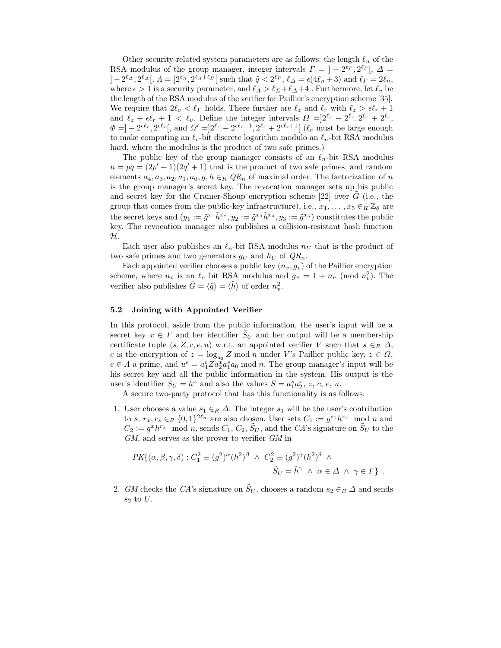Other security-related system parameters are as follows: the length  $\ell_n$  of the RSA modulus of the group manager, integer intervals  $\Gamma = \left[-2^{\ell_r}, 2^{\ell_r}\right], \Delta =$  $]-2^{\ell_{\Delta}}, 2^{\ell_{\Delta}}[, \Lambda = ]2^{\ell_{\Lambda}}, 2^{\ell_{\Lambda}+\ell_{\Sigma}}[$  such that  $\tilde{q} < 2^{\ell_{\Gamma}}, \ell_{\Delta} = \epsilon(4\ell_{n}+3)$  and  $\ell_{\Gamma} = 2\ell_{n}$ , where  $\epsilon > 1$  is a security parameter, and  $\ell_A > \ell_{\Sigma} + \ell_{\Delta} + 4$ . Furthermore, let  $\ell_v$  be the length of the RSA modulus of the verifier for Paillier's encryption scheme [35]. We require that  $2\ell_v < \ell_F$  holds. There further are  $\ell_z$  and  $\ell_r$  with  $\ell_z > \epsilon \ell_r + 1$ and  $\ell_z + \epsilon \ell_r + 1 < \ell_v$ . Define the integer intervals  $\Omega = 2^{\ell_z} - 2^{\ell_r}, 2^{\ell_z} + 2^{\ell_r}$ ,  $\Phi = ] - 2^{\epsilon \ell_r}, 2^{\epsilon \ell_r} [$ , and  $\Omega' = ] 2^{\ell_z} - 2^{\epsilon \ell_r + 1}, 2^{\ell_z} + 2^{\epsilon \ell_r + 1} [$  ( $\ell_r$  must be large enough to make computing an  $\ell_r$ -bit discrete logarithm modulo an  $\ell_n$ -bit RSA modulus hard, where the modulus is the product of two safe primes.)

The public key of the group manager consists of an  $\ell_n$ -bit RSA modulus  $n = pq = (2p' + 1)(2q' + 1)$  that is the product of two safe primes, and random elements  $a_4, a_3, a_2, a_1, a_0, g, h \in_R QR_n$  of maximal order. The factorization of n is the group manager's secret key. The revocation manager sets up his public and secret key for the Cramer-Shoup encryption scheme  $[22]$  over G (i.e., the group that comes from the public-key infrastructure), i.e.,  $x_1, \ldots, x_5 \in_R \mathbb{Z}_q$  are the secret keys and  $(y_1 := \tilde{g}^{x_1} \tilde{h}^{x_2}, y_2 := \tilde{g}^{x_3} \tilde{h}^{x_4}, y_3 := \tilde{g}^{x_5}$  constitutes the public key. The revocation manager also publishes a collision-resistant hash function H.

Each user also publishes an  $\ell_n$ -bit RSA modulus  $n_U$  that is the product of two safe primes and two generators  $g_U$  and  $h_U$  of  $QR_n$ .

Each appointed verifier chooses a public key  $(n_v, g_v)$  of the Paillier encryption scheme, where  $n_v$  is an  $\ell_v$  bit RSA modulus and  $g_v = 1 + n_v \pmod{n_v^2}$ . The verifier also publishes  $\hat{G} = \langle \hat{g} \rangle = \langle \hat{h} \rangle$  of order  $n_v^2$ .

#### 5.2 Joining with Appointed Verifier

In this protocol, aside from the public information, the user's input will be a secret key  $x \in \Gamma$  and her identifier  $S_U$  and her output will be a membership certificate tuple  $(s, Z, c, e, u)$  w.r.t. an appointed verifier V such that  $s \in_R \Delta$ , c is the encryption of  $z = \log_{a_3} Z$  mod n under V's Paillier public key,  $z \in \Omega$ ,  $e \in A$  a prime, and  $u^e = a_4^c Z a_2^{\bar{x}} a_1^s a_0 \mod n$ . The group manager's input will be his secret key and all the public information in the system. His output is the user's identifier  $\tilde{S}_U = \tilde{h}^x$  and also the values  $S = a_1^s a_2^x$ , z, c, e, u.

A secure two-party protocol that has this functionality is as follows:

1. User chooses a value  $s_1 \in_R \Delta$ . The integer  $s_1$  will be the user's contribution to s.  $r_x, r_s \in_R \{0, 1\}^{2\ell_n}$  are also chosen. User sets  $C_1 := g^{s_1} h^{r_s} \mod n$  and  $C_2 := g^x h^{r_x} \mod n$ , sends  $C_1, C_2, \tilde{S}_U$ , and the CA's signature on  $\tilde{S}_U$  to the GM, and serves as the prover to verifier GM in

$$
PK\{(\alpha, \beta, \gamma, \delta) : C_1^2 \equiv (g^2)^{\alpha} (h^2)^{\beta} \ \wedge \ C_2^2 \equiv (g^2)^{\gamma} (h^2)^{\delta} \ \wedge \ \widetilde{S}_U = \widetilde{h}^{\gamma} \ \wedge \ \alpha \in \Delta \ \wedge \ \gamma \in \Gamma \} .
$$

2. GM checks the CA's signature on  $\tilde{S}_U$ , chooses a random  $s_2 \in_R \Delta$  and sends  $s_2$  to  $U$ .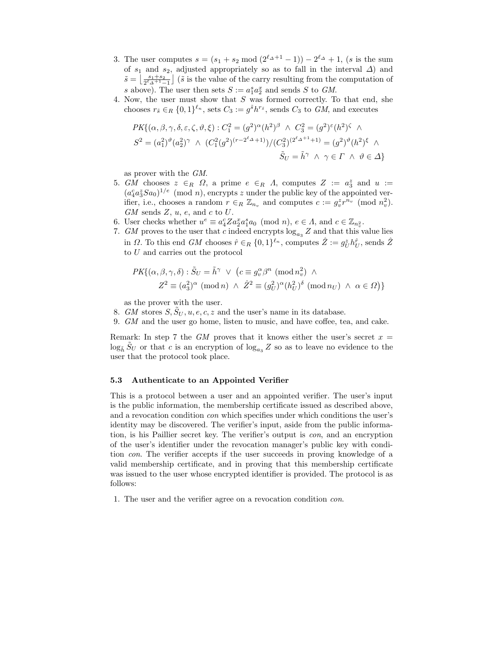- 3. The user computes  $s = (s_1 + s_2 \mod (2^{\ell_1+1} 1)) 2^{\ell_1} + 1$ , (s is the sum of  $s_1$  and  $s_2$ , adjusted appropriately so as to fall in the interval  $\Delta$ ) and  $\tilde{s} = \left\lfloor \frac{s_1+s_2}{2^{\ell} \Delta^{+1}-1} \right\rfloor$  ( $\tilde{s}$  is the value of the carry resulting from the computation of s above). The user then sets  $S := a_1^s a_2^x$  and sends S to GM.
- 4. Now, the user must show that S was formed correctly. To that end, she chooses  $r_{\tilde{s}} \in_R \{0,1\}^{\ell_n}$ , sets  $C_3 := g^{\tilde{s}} h^{r_{\tilde{s}}}$ , sends  $C_3$  to  $GM$ , and executes

$$
PK\{ (\alpha, \beta, \gamma, \delta, \varepsilon, \zeta, \vartheta, \xi) : C_1^2 = (g^2)^{\alpha} (h^2)^{\beta} \ \wedge \ C_3^2 = (g^2)^{\varepsilon} (h^2)^{\zeta} \ \wedge
$$
  

$$
S^2 = (a_1^2)^{\vartheta} (a_2^2)^{\gamma} \ \wedge \ (C_1^2 (g^2)^{(r - 2^{\ell} \Delta + 1)}) / (C_3^2)^{(2^{\ell} \Delta + 1)} = (g^2)^{\vartheta} (h^2)^{\xi} \ \wedge
$$
  

$$
\tilde{S}_U = \tilde{h}^{\gamma} \ \wedge \ \gamma \in \Gamma \ \wedge \ \vartheta \in \Delta \}
$$

as prover with the GM.

- 5. GM chooses  $z \in_R \Omega$ , a prime  $e \in_R \Lambda$ , computes  $Z := a_3^z$  and  $u :=$  $(a_4^c a_3^s S a_0)^{1/e}$  (mod *n*), encrypts z under the public key of the appointed verifier, i.e., chooses a random  $r \in_R \mathbb{Z}_{n_v}$  and computes  $c := g_v^z r^{n_v} \pmod{n_v^2}$ .  $GM$  sends  $Z, u, e$ , and  $c$  to  $U$ .
- 6. User checks whether  $u^e \equiv a_4^c Z a_2^x a_1^s a_0 \pmod{n}$ ,  $e \in \Lambda$ , and  $c \in \mathbb{Z}_{n_v^2}$ .
- 7.  $GM$  proves to the user that c indeed encrypts  $log_{a_3} Z$  and that this value lies in  $\Omega$ . To this end  $GM$  chooses  $\hat{r} \in_R \{0,1\}^{\ell_n}$ , computes  $\hat{Z} := g_U^z h_U^{\hat{r}}$ , sends  $\hat{Z}$ to U and carries out the protocol

$$
PK\{(\alpha, \beta, \gamma, \delta) : \tilde{S}_U = \tilde{h}^\gamma \ \lor \ (c \equiv g_v^\alpha \beta^n \ (\text{mod } n_v^2) \ \land Z^2 \equiv (a_3^2)^\alpha \ (\text{mod } n) \ \land \ \hat{Z}^2 \equiv (g_U^2)^\alpha (h_U^2)^\delta \ (\text{mod } n_U) \ \land \ \alpha \in \Omega \}
$$

as the prover with the user.

- 8. GM stores  $S, \dot{S}_U, u, e, c, z$  and the user's name in its database.
- 9. GM and the user go home, listen to music, and have coffee, tea, and cake.

Remark: In step 7 the  $GM$  proves that it knows either the user's secret  $x =$  $\log_{\tilde{h}} \tilde{S}_U$  or that c is an encryption of  $\log_{a_3} Z$  so as to leave no evidence to the user that the protocol took place.

#### 5.3 Authenticate to an Appointed Verifier

This is a protocol between a user and an appointed verifier. The user's input is the public information, the membership certificate issued as described above, and a revocation condition con which specifies under which conditions the user's identity may be discovered. The verifier's input, aside from the public information, is his Paillier secret key. The verifier's output is con, and an encryption of the user's identifier under the revocation manager's public key with condition con. The verifier accepts if the user succeeds in proving knowledge of a valid membership certificate, and in proving that this membership certificate was issued to the user whose encrypted identifier is provided. The protocol is as follows:

1. The user and the verifier agree on a revocation condition con.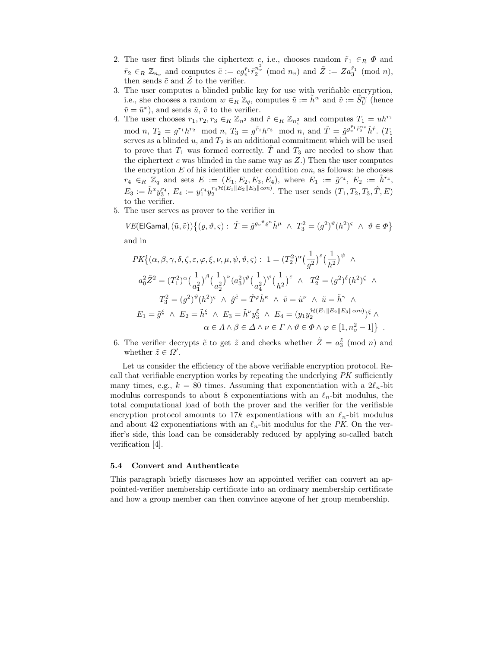- 2. The user first blinds the ciphertext c, i.e., chooses random  $\tilde{r}_1 \in_R \Phi$  and  $\tilde{r}_2 \in_R \mathbb{Z}_{n_v}$  and computes  $\tilde{c} := cg_v^{\tilde{r}_1}\tilde{r}_2^{n_v^2} \pmod{n_v}$  and  $\tilde{Z} := Za_3^{\tilde{r}_1} \pmod{n}$ , then sends  $\tilde{c}$  and  $\tilde{Z}$  to the verifier.
- 3. The user computes a blinded public key for use with verifiable encryption, i.e., she chooses a random  $w \in_R \mathbb{Z}_{q}$ , computes  $\tilde{u} := \tilde{h}^w$  and  $\tilde{v} := \tilde{S}_U^w$  (hence  $\tilde{v} = \tilde{u}^x$ , and sends  $\tilde{u}$ ,  $\tilde{v}$  to the verifier.
- 4. The user chooses  $r_1, r_2, r_3 \in_R \mathbb{Z}_{n^2}$  and  $\hat{r} \in_R \mathbb{Z}_{n^2_v}$  and computes  $T_1 = uh^{r_1}$ mod n,  $T_2 = g^{r_1} h^{r_2} \mod n$ ,  $T_3 = g^{\tilde{r}_1} h^{r_3} \mod n$ , and  $\hat{T} = \hat{g}^{g_v^{\tilde{r}_1} \tilde{r}_2^{n_v}} \hat{h}^{\hat{r}}$ .  $(T_1)$ serves as a blinded  $u$ , and  $T_2$  is an additional commitment which will be used to prove that  $T_1$  was formed correctly. T and  $T_3$  are needed to show that the ciphertext  $c$  was blinded in the same way as  $Z$ .) Then the user computes the encryption  $E$  of his identifier under condition  $con$ , as follows: he chooses  $r_4 \in_R \overline{\mathbb{Z}}_q$  and sets  $E := (E_1, E_2, E_3, E_4)$ , where  $E_1 := \tilde{g}^{r_4}, E_2 := \tilde{h}^{r_4}$ ,  $E_3 := \tilde{h}^x y_3^{r_4}, E_4 := y_1^{r_4} y_2^{r_4 \mathcal{H}(E_1||E_2||E_3||con)}$ . The user sends  $(T_1, T_2, T_3, \hat{T}, E)$ to the verifier.
- 5. The user serves as prover to the verifier in

 $VE(\textsf{ElGamal},(\tilde{u},\tilde{v}))\big\{(\varrho,\vartheta,\varsigma):\ \hat{T}=\hat{g}^{g_v{}^{\vartheta}}e^n\hat{h}^{\mu}\ \wedge\ T_3^2=(g^2)^{\vartheta}(h^2)^{\varsigma}\ \wedge\ \vartheta\in\varPhi\big\}$ and in

$$
PK\{ (\alpha, \beta, \gamma, \delta, \zeta, \varepsilon, \varphi, \xi, \nu, \mu, \psi, \vartheta, \varsigma) : 1 = (T_2^2)^{\alpha} \left(\frac{1}{g^2}\right)^{\varepsilon} \left(\frac{1}{h^2}\right)^{\psi} \wedge
$$
  

$$
a_0^2 \tilde{Z}^2 = (T_1^2)^{\alpha} \left(\frac{1}{a_1^2}\right)^{\beta} \left(\frac{1}{a_2^2}\right)^{\nu} (a_3^2)^{\vartheta} \left(\frac{1}{a_4^2}\right)^{\varphi} \left(\frac{1}{h^2}\right)^{\varepsilon} \wedge T_2^2 = (g^2)^{\delta} (h^2)^{\zeta} \wedge
$$
  

$$
T_3^2 = (g^2)^{\vartheta} (h^2)^{\varsigma} \wedge \hat{g}^{\tilde{c}} = \hat{T}^{\varphi} \hat{h}^{\kappa} \wedge \tilde{v} = \tilde{u}^{\nu} \wedge \tilde{u} = \tilde{h}^{\gamma} \wedge
$$
  

$$
E_1 = \tilde{g}^{\xi} \wedge E_2 = \tilde{h}^{\xi} \wedge E_3 = \tilde{h}^{\nu} y_3^{\xi} \wedge E_4 = (y_1 y_2^{\mathcal{H}(E_1||E_2||E_3||con)})^{\xi} \wedge
$$
  

$$
\alpha \in \Lambda \wedge \beta \in \Delta \wedge \nu \in \Gamma \wedge \vartheta \in \Phi \wedge \varphi \in [1, n_v^2 - 1] \}.
$$

6. The verifier decrypts  $\tilde{c}$  to get  $\tilde{z}$  and checks whether  $\tilde{Z} = a_3^{\tilde{z}} \pmod{n}$  and whether  $\tilde{z} \in \Omega'.$ 

Let us consider the efficiency of the above verifiable encryption protocol. Recall that verifiable encryption works by repeating the underlying PK sufficiently many times, e.g.,  $k = 80$  times. Assuming that exponentiation with a  $2\ell_n$ -bit modulus corresponds to about 8 exponentiations with an  $\ell_n$ -bit modulus, the total computational load of both the prover and the verifier for the verifiable encryption protocol amounts to 17k exponentiations with an  $\ell_n$ -bit modulus and about 42 exponentiations with an  $\ell_n$ -bit modulus for the PK. On the verifier's side, this load can be considerably reduced by applying so-called batch verification [4].

#### 5.4 Convert and Authenticate

This paragraph briefly discusses how an appointed verifier can convert an appointed-verifier membership certificate into an ordinary membership certificate and how a group member can then convince anyone of her group membership.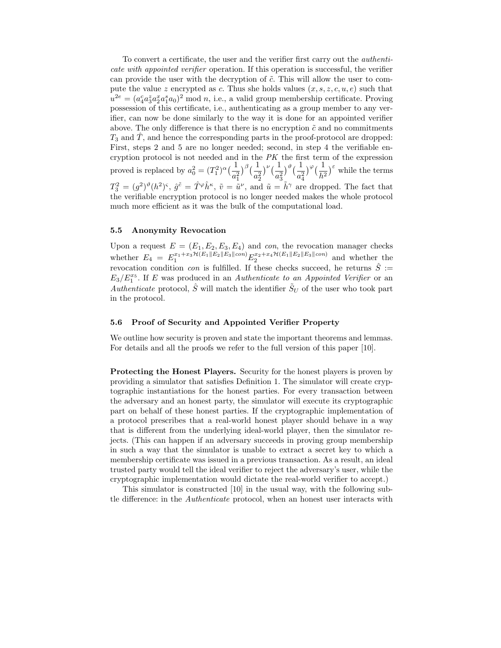To convert a certificate, the user and the verifier first carry out the authenticate with appointed verifier operation. If this operation is successful, the verifier can provide the user with the decryption of  $\tilde{c}$ . This will allow the user to compute the value z encrypted as c. Thus she holds values  $(x, s, z, c, u, e)$  such that  $u^{2e} = (a_4^c a_3^2 a_2^s a_1^s a_0)^2$  mod n, i.e., a valid group membership certificate. Proving possession of this certificate, i.e., authenticating as a group member to any verifier, can now be done similarly to the way it is done for an appointed verifier above. The only difference is that there is no encryption  $\tilde{c}$  and no commitments  $T_3$  and  $T$ , and hence the corresponding parts in the proof-protocol are dropped: First, steps 2 and 5 are no longer needed; second, in step 4 the verifiable encryption protocol is not needed and in the PK the first term of the expression proved is replaced by  $a_0^2 = (T_1^2)^{\alpha} \left(\frac{1}{a_1^2}\right)$  $)^{\beta}(\frac{1}{a_{2}^{2}}% )^{a_{3}^{2}}$  $v'(\frac{1}{a_3^2})$  $\int_0^{\vartheta} \left(\frac{1}{a_4^2}\right)$  $(\frac{1}{h^2})^{\varepsilon}$  while the terms  $T_3^2 = (g^2)^{\vartheta}(h^2)^{\varsigma}, \ \hat{g}^{\tilde{c}} = \hat{T}^{\varphi}\hat{h}^{\kappa}, \ \tilde{v} = \tilde{u}^{\nu}, \text{ and } \tilde{u} = \tilde{h}^{\gamma} \text{ are dropped. The fact that }$ the verifiable encryption protocol is no longer needed makes the whole protocol much more efficient as it was the bulk of the computational load.

#### 5.5 Anonymity Revocation

Upon a request  $E = (E_1, E_2, E_3, E_4)$  and *con*, the revocation manager checks whether  $E_4 = E_1^{x_1+x_3\mathcal{H}(E_1||E_2||E_3||con)} E_2^{x_2+x_4\mathcal{H}(E_1||E_2||E_3||con)}$  and whether the revocation condition con is fulfilled. If these checks succeed, he returns  $\hat{S}$  :=  $E_3/E_1^{x_5}$ . If E was produced in an Authenticate to an Appointed Verifier or an Authenticate protocol,  $\hat{S}$  will match the identifier  $\tilde{S}_U$  of the user who took part in the protocol.

#### 5.6 Proof of Security and Appointed Verifier Property

We outline how security is proven and state the important theorems and lemmas. For details and all the proofs we refer to the full version of this paper [10].

Protecting the Honest Players. Security for the honest players is proven by providing a simulator that satisfies Definition 1. The simulator will create cryptographic instantiations for the honest parties. For every transaction between the adversary and an honest party, the simulator will execute its cryptographic part on behalf of these honest parties. If the cryptographic implementation of a protocol prescribes that a real-world honest player should behave in a way that is different from the underlying ideal-world player, then the simulator rejects. (This can happen if an adversary succeeds in proving group membership in such a way that the simulator is unable to extract a secret key to which a membership certificate was issued in a previous transaction. As a result, an ideal trusted party would tell the ideal verifier to reject the adversary's user, while the cryptographic implementation would dictate the real-world verifier to accept.)

This simulator is constructed [10] in the usual way, with the following subtle difference: in the Authenticate protocol, when an honest user interacts with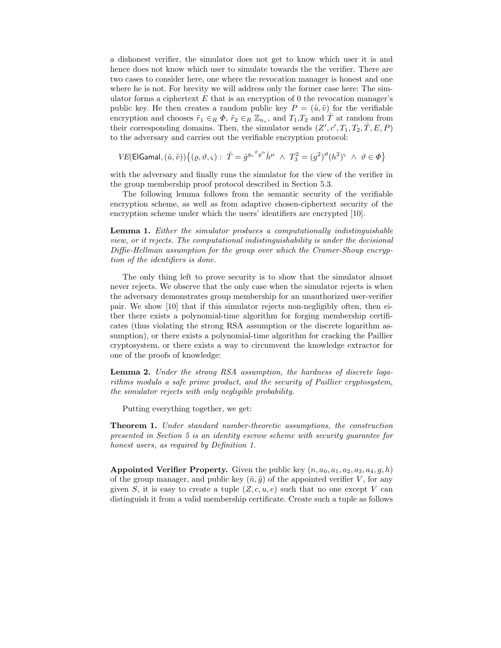a dishonest verifier, the simulator does not get to know which user it is and hence does not know which user to simulate towards the the verifier. There are two cases to consider here, one where the revocation manager is honest and one where he is not. For brevity we will address only the former case here: The simulator forms a ciphertext  $E$  that is an encryption of 0 the revocation manager's public key. He then creates a random public key  $P = (\tilde{u}, \tilde{v})$  for the verifiable encryption and chooses  $\tilde{r}_1 \in_R \Phi$ ,  $\tilde{r}_2 \in_R \mathbb{Z}_{n_v}$ , and  $T_1, T_2$  and  $\hat{T}$  at random from their corresponding domains. Then, the simulator sends  $(Z', c', T_1, T_2, \hat{T}, E, P)$ to the adversary and carries out the verifiable encryption protocol:

$$
VE(\text{ElGamal},(\tilde{u},\tilde{v}))\big\{(\varrho,\vartheta,\varsigma):\ \hat{T}=\hat{g}^{g_v{}^{\vartheta}}\varrho^n\hat{h}^{\mu}\ \wedge\ T_3^2=(g^2)^{\vartheta}(h^2)^{\varsigma}\ \wedge\ \vartheta\in\varPhi\big\}
$$

with the adversary and finally runs the simulator for the view of the verifier in the group membership proof protocol described in Section 5.3.

The following lemma follows from the semantic security of the verifiable encryption scheme, as well as from adaptive chosen-ciphertext security of the encryption scheme under which the users' identifiers are encrypted [10].

Lemma 1. Either the simulator produces a computationally indistinguishable view, or it rejects. The computational indistinguishability is under the decisional Diffie-Hellman assumption for the group over which the Cramer-Shoup encryption of the identifiers is done.

The only thing left to prove security is to show that the simulator almost never rejects. We observe that the only case when the simulator rejects is when the adversary demonstrates group membership for an unauthorized user-verifier pair. We show [10] that if this simulator rejects non-negligibly often, then either there exists a polynomial-time algorithm for forging membership certificates (thus violating the strong RSA assumption or the discrete logarithm assumption), or there exists a polynomial-time algorithm for cracking the Paillier cryptosystem, or there exists a way to circumvent the knowledge extractor for one of the proofs of knowledge:

Lemma 2. Under the strong RSA assumption, the hardness of discrete logarithms modulo a safe prime product, and the security of Paillier cryptosystem, the simulator rejects with only negligible probability.

Putting everything together, we get:

Theorem 1. Under standard number-theoretic assumptions, the construction presented in Section 5 is an identity escrow scheme with security guarantee for honest users, as required by Definition 1.

**Appointed Verifier Property.** Given the public key  $(n, a_0, a_1, a_2, a_3, a_4, g, h)$ of the group manager, and public key  $(\tilde{n}, \tilde{g})$  of the appointed verifier V, for any given S, it is easy to create a tuple  $(Z, c, u, e)$  such that no one except V can distinguish it from a valid membership certificate. Create such a tuple as follows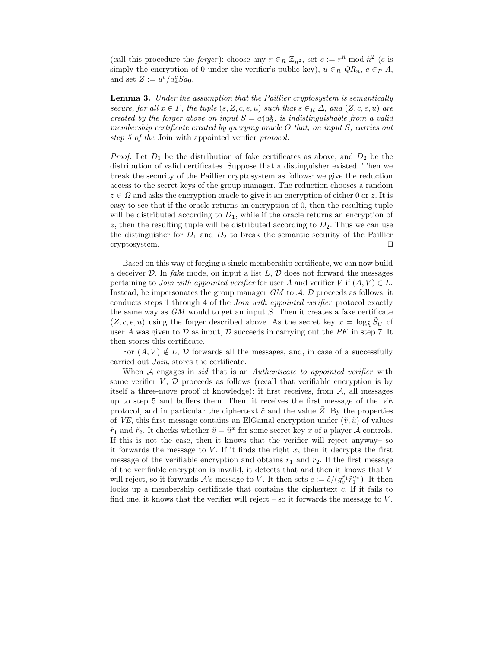(call this procedure the *forger*): choose any  $r \in_R \mathbb{Z}_{\tilde{n}^2}$ , set  $c := r^{\tilde{n}} \mod \tilde{n}^2$  (*c* is simply the encryption of 0 under the verifier's public key),  $u \in_R QR_n$ ,  $e \in_R \Lambda$ , and set  $Z := u^e / a_4^c Sa_0$ .

Lemma 3. Under the assumption that the Paillier cryptosystem is semantically secure, for all  $x \in \Gamma$ , the tuple  $(s, Z, c, e, u)$  such that  $s \in_R \Delta$ , and  $(Z, c, e, u)$  are created by the forger above on input  $S = a_1^s a_2^s$ , is indistinguishable from a valid membership certificate created by querying oracle O that, on input S, carries out step 5 of the Join with appointed verifier protocol.

*Proof.* Let  $D_1$  be the distribution of fake certificates as above, and  $D_2$  be the distribution of valid certificates. Suppose that a distinguisher existed. Then we break the security of the Paillier cryptosystem as follows: we give the reduction access to the secret keys of the group manager. The reduction chooses a random  $z \in \Omega$  and asks the encryption oracle to give it an encryption of either 0 or z. It is easy to see that if the oracle returns an encryption of 0, then the resulting tuple will be distributed according to  $D_1$ , while if the oracle returns an encryption of z, then the resulting tuple will be distributed according to  $D_2$ . Thus we can use the distinguisher for  $D_1$  and  $D_2$  to break the semantic security of the Paillier cryptosystem.  $\square$ 

Based on this way of forging a single membership certificate, we can now build a deceiver  $D$ . In fake mode, on input a list  $L, D$  does not forward the messages pertaining to *Join with appointed verifier* for user A and verifier V if  $(A, V) \in L$ . Instead, he impersonates the group manager  $GM$  to  $A$ .  $D$  proceeds as follows: it conducts steps 1 through 4 of the Join with appointed verifier protocol exactly the same way as  $GM$  would to get an input  $S$ . Then it creates a fake certificate  $(Z, c, e, u)$  using the forger described above. As the secret key  $x = \log_{\tilde{b}} S_U$  of user A was given to  $D$  as input,  $D$  succeeds in carrying out the PK in step 7. It then stores this certificate.

For  $(A, V) \notin L$ , D forwards all the messages, and, in case of a successfully carried out Join, stores the certificate.

When A engages in sid that is an Authenticate to appointed verifier with some verifier  $V, \mathcal{D}$  proceeds as follows (recall that verifiable encryption is by itself a three-move proof of knowledge): it first receives, from  $A$ , all messages up to step 5 and buffers them. Then, it receives the first message of the VE protocol, and in particular the ciphertext  $\tilde{c}$  and the value Z. By the properties of VE, this first message contains an ElGamal encryption under  $(\tilde{v}, \tilde{u})$  of values  $\tilde{r}_1$  and  $\tilde{r}_2$ . It checks whether  $\tilde{v} = \tilde{u}^x$  for some secret key x of a player A controls. If this is not the case, then it knows that the verifier will reject anyway– so it forwards the message to  $V$ . If it finds the right  $x$ , then it decrypts the first message of the verifiable encryption and obtains  $\tilde{r}_1$  and  $\tilde{r}_2$ . If the first message of the verifiable encryption is invalid, it detects that and then it knows that V will reject, so it forwards  $\mathcal{A}$ 's message to V. It then sets  $c := \tilde{c}/(g_v^{\tilde{r}_1} \tilde{r}_1^{n_v})$ . It then looks up a membership certificate that contains the ciphertext c. If it fails to find one, it knows that the verifier will reject – so it forwards the message to  $V$ .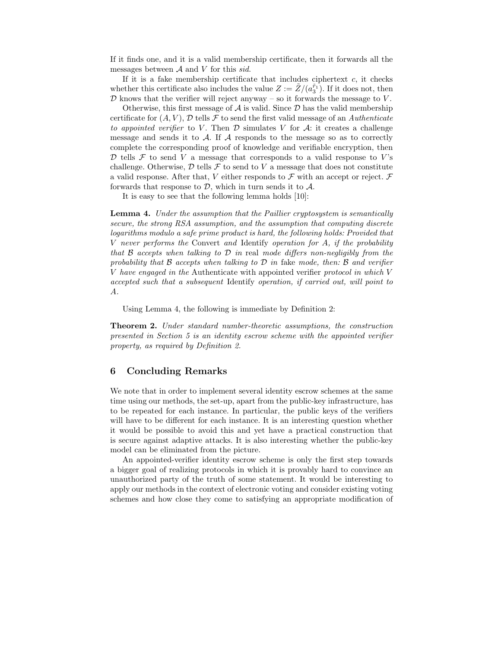If it finds one, and it is a valid membership certificate, then it forwards all the messages between  $A$  and  $V$  for this sid.

If it is a fake membership certificate that includes ciphertext  $c$ , it checks whether this certificate also includes the value  $Z := \tilde{Z}/(a_3^{\tilde{r}_1})$ . If it does not, then  $D$  knows that the verifier will reject anyway – so it forwards the message to  $V$ .

Otherwise, this first message of  $A$  is valid. Since  $D$  has the valid membership certificate for  $(A, V)$ ,  $D$  tells  $\mathcal F$  to send the first valid message of an Authenticate to appointed verifier to V. Then  $\mathcal D$  simulates V for  $\mathcal A$ : it creates a challenge message and sends it to  $\mathcal A$ . If  $\mathcal A$  responds to the message so as to correctly complete the corresponding proof of knowledge and verifiable encryption, then  $\mathcal D$  tells  $\mathcal F$  to send V a message that corresponds to a valid response to V's challenge. Otherwise,  $\mathcal{D}$  tells  $\mathcal F$  to send to V a message that does not constitute a valid response. After that, V either responds to  $\mathcal F$  with an accept or reject.  $\mathcal F$ forwards that response to  $D$ , which in turn sends it to  $\mathcal{A}$ .

It is easy to see that the following lemma holds [10]:

**Lemma 4.** Under the assumption that the Paillier cryptosystem is semantically secure, the strong RSA assumption, and the assumption that computing discrete logarithms modulo a safe prime product is hard, the following holds: Provided that V never performs the Convert and Identify operation for A, if the probability that  $\beta$  accepts when talking to  $\mathcal D$  in real mode differs non-negligibly from the probability that  $\beta$  accepts when talking to  $\mathcal D$  in fake mode, then:  $\beta$  and verifier V have engaged in the Authenticate with appointed verifier protocol in which V accepted such that a subsequent Identify operation, if carried out, will point to A.

Using Lemma 4, the following is immediate by Definition 2:

Theorem 2. Under standard number-theoretic assumptions, the construction presented in Section 5 is an identity escrow scheme with the appointed verifier property, as required by Definition 2.

# 6 Concluding Remarks

We note that in order to implement several identity escrow schemes at the same time using our methods, the set-up, apart from the public-key infrastructure, has to be repeated for each instance. In particular, the public keys of the verifiers will have to be different for each instance. It is an interesting question whether it would be possible to avoid this and yet have a practical construction that is secure against adaptive attacks. It is also interesting whether the public-key model can be eliminated from the picture.

An appointed-verifier identity escrow scheme is only the first step towards a bigger goal of realizing protocols in which it is provably hard to convince an unauthorized party of the truth of some statement. It would be interesting to apply our methods in the context of electronic voting and consider existing voting schemes and how close they come to satisfying an appropriate modification of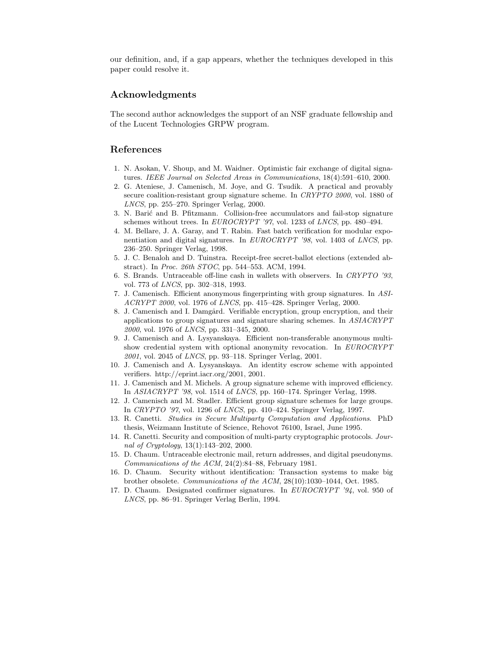our definition, and, if a gap appears, whether the techniques developed in this paper could resolve it.

# Acknowledgments

The second author acknowledges the support of an NSF graduate fellowship and of the Lucent Technologies GRPW program.

## References

- 1. N. Asokan, V. Shoup, and M. Waidner. Optimistic fair exchange of digital signatures. IEEE Journal on Selected Areas in Communications, 18(4):591–610, 2000.
- 2. G. Ateniese, J. Camenisch, M. Joye, and G. Tsudik. A practical and provably secure coalition-resistant group signature scheme. In CRYPTO 2000, vol. 1880 of LNCS, pp. 255–270. Springer Verlag, 2000.
- 3. N. Barić and B. Pfitzmann. Collision-free accumulators and fail-stop signature schemes without trees. In EUROCRYPT '97, vol. 1233 of LNCS, pp. 480–494.
- 4. M. Bellare, J. A. Garay, and T. Rabin. Fast batch verification for modular exponentiation and digital signatures. In EUROCRYPT '98, vol. 1403 of LNCS, pp. 236–250. Springer Verlag, 1998.
- 5. J. C. Benaloh and D. Tuinstra. Receipt-free secret-ballot elections (extended abstract). In Proc. 26th STOC, pp. 544–553. ACM, 1994.
- 6. S. Brands. Untraceable off-line cash in wallets with observers. In CRYPTO '93, vol. 773 of LNCS, pp. 302–318, 1993.
- 7. J. Camenisch. Efficient anonymous fingerprinting with group signatures. In ASI-ACRYPT 2000, vol. 1976 of LNCS, pp. 415–428. Springer Verlag, 2000.
- 8. J. Camenisch and I. Damgård. Verifiable encryption, group encryption, and their applications to group signatures and signature sharing schemes. In ASIACRYPT 2000, vol. 1976 of LNCS, pp. 331–345, 2000.
- 9. J. Camenisch and A. Lysyanskaya. Efficient non-transferable anonymous multishow credential system with optional anonymity revocation. In EUROCRYPT 2001, vol. 2045 of LNCS, pp. 93–118. Springer Verlag, 2001.
- 10. J. Camenisch and A. Lysyanskaya. An identity escrow scheme with appointed verifiers. http://eprint.iacr.org/2001, 2001.
- 11. J. Camenisch and M. Michels. A group signature scheme with improved efficiency. In ASIACRYPT '98, vol. 1514 of LNCS, pp. 160–174. Springer Verlag, 1998.
- 12. J. Camenisch and M. Stadler. Efficient group signature schemes for large groups. In CRYPTO '97, vol. 1296 of LNCS, pp. 410–424. Springer Verlag, 1997.
- 13. R. Canetti. Studies in Secure Multiparty Computation and Applications. PhD thesis, Weizmann Institute of Science, Rehovot 76100, Israel, June 1995.
- 14. R. Canetti. Security and composition of multi-party cryptographic protocols. Journal of Cryptology, 13(1):143–202, 2000.
- 15. D. Chaum. Untraceable electronic mail, return addresses, and digital pseudonyms. Communications of the ACM, 24(2):84–88, February 1981.
- 16. D. Chaum. Security without identification: Transaction systems to make big brother obsolete. Communications of the ACM, 28(10):1030–1044, Oct. 1985.
- 17. D. Chaum. Designated confirmer signatures. In EUROCRYPT '94, vol. 950 of LNCS, pp. 86–91. Springer Verlag Berlin, 1994.